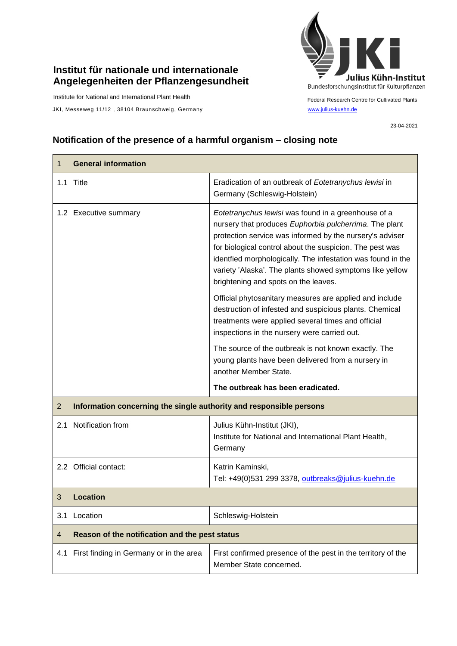## **Institut für nationale und internationale Angelegenheiten der Pflanzengesundheit**

Institute for National and International Plant Health

JKI, Messeweg 11/12, 38104 Braunschweig, Germany [www.julius-kuehn.de](http://www.julius-kuehn.de/)



Federal Research Centre for Cultivated Plants

23-04-2021

## **Notification of the presence of a harmful organism – closing note**

| 1              | <b>General information</b>                                          |                                                                                                                                                                                                                                                                                                                                                                                                          |  |
|----------------|---------------------------------------------------------------------|----------------------------------------------------------------------------------------------------------------------------------------------------------------------------------------------------------------------------------------------------------------------------------------------------------------------------------------------------------------------------------------------------------|--|
|                | 1.1 Title                                                           | Eradication of an outbreak of Eotetranychus lewisi in<br>Germany (Schleswig-Holstein)                                                                                                                                                                                                                                                                                                                    |  |
|                | 1.2 Executive summary                                               | Eotetranychus lewisi was found in a greenhouse of a<br>nursery that produces Euphorbia pulcherrima. The plant<br>protection service was informed by the nursery's adviser<br>for biological control about the suspicion. The pest was<br>identfied morphologically. The infestation was found in the<br>variety 'Alaska'. The plants showed symptoms like yellow<br>brightening and spots on the leaves. |  |
|                |                                                                     | Official phytosanitary measures are applied and include<br>destruction of infested and suspicious plants. Chemical<br>treatments were applied several times and official<br>inspections in the nursery were carried out.                                                                                                                                                                                 |  |
|                |                                                                     | The source of the outbreak is not known exactly. The<br>young plants have been delivered from a nursery in<br>another Member State.                                                                                                                                                                                                                                                                      |  |
|                |                                                                     | The outbreak has been eradicated.                                                                                                                                                                                                                                                                                                                                                                        |  |
| $\overline{2}$ | Information concerning the single authority and responsible persons |                                                                                                                                                                                                                                                                                                                                                                                                          |  |
|                | 2.1 Notification from                                               | Julius Kühn-Institut (JKI),<br>Institute for National and International Plant Health,<br>Germany                                                                                                                                                                                                                                                                                                         |  |
|                | 2.2 Official contact:                                               | Katrin Kaminski,<br>Tel: +49(0)531 299 3378, outbreaks@julius-kuehn.de                                                                                                                                                                                                                                                                                                                                   |  |
| 3              | Location                                                            |                                                                                                                                                                                                                                                                                                                                                                                                          |  |
| 3.1            | Location                                                            | Schleswig-Holstein                                                                                                                                                                                                                                                                                                                                                                                       |  |
| 4              | Reason of the notification and the pest status                      |                                                                                                                                                                                                                                                                                                                                                                                                          |  |
| 4.1            | First finding in Germany or in the area                             | First confirmed presence of the pest in the territory of the<br>Member State concerned.                                                                                                                                                                                                                                                                                                                  |  |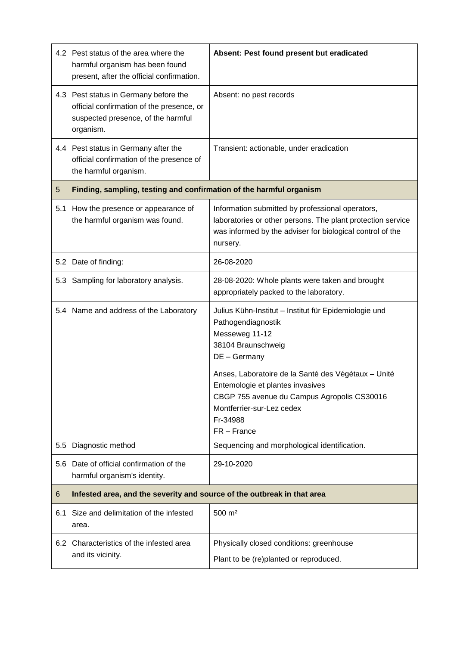|     | 4.2 Pest status of the area where the<br>harmful organism has been found<br>present, after the official confirmation.                 | Absent: Pest found present but eradicated                                                                                                                                                    |  |
|-----|---------------------------------------------------------------------------------------------------------------------------------------|----------------------------------------------------------------------------------------------------------------------------------------------------------------------------------------------|--|
|     | 4.3 Pest status in Germany before the<br>official confirmation of the presence, or<br>suspected presence, of the harmful<br>organism. | Absent: no pest records                                                                                                                                                                      |  |
|     | 4.4 Pest status in Germany after the<br>official confirmation of the presence of<br>the harmful organism.                             | Transient: actionable, under eradication                                                                                                                                                     |  |
| 5   | Finding, sampling, testing and confirmation of the harmful organism                                                                   |                                                                                                                                                                                              |  |
| 5.1 | How the presence or appearance of<br>the harmful organism was found.                                                                  | Information submitted by professional operators,<br>laboratories or other persons. The plant protection service<br>was informed by the adviser for biological control of the<br>nursery.     |  |
|     | 5.2 Date of finding:                                                                                                                  | 26-08-2020                                                                                                                                                                                   |  |
|     | 5.3 Sampling for laboratory analysis.                                                                                                 | 28-08-2020: Whole plants were taken and brought<br>appropriately packed to the laboratory.                                                                                                   |  |
|     | 5.4 Name and address of the Laboratory                                                                                                | Julius Kühn-Institut - Institut für Epidemiologie und<br>Pathogendiagnostik<br>Messeweg 11-12<br>38104 Braunschweig<br>DE - Germany                                                          |  |
|     |                                                                                                                                       | Anses, Laboratoire de la Santé des Végétaux - Unité<br>Entemologie et plantes invasives<br>CBGP 755 avenue du Campus Agropolis CS30016<br>Montferrier-sur-Lez cedex<br>Fr-34988<br>FR-France |  |
| 5.5 | Diagnostic method                                                                                                                     | Sequencing and morphological identification.                                                                                                                                                 |  |
| 5.6 | Date of official confirmation of the<br>harmful organism's identity.                                                                  | 29-10-2020                                                                                                                                                                                   |  |
| 6   | Infested area, and the severity and source of the outbreak in that area                                                               |                                                                                                                                                                                              |  |
| 6.1 | Size and delimitation of the infested<br>area.                                                                                        | $500 \; \text{m}^2$                                                                                                                                                                          |  |
|     | 6.2 Characteristics of the infested area<br>and its vicinity.                                                                         | Physically closed conditions: greenhouse<br>Plant to be (re)planted or reproduced.                                                                                                           |  |